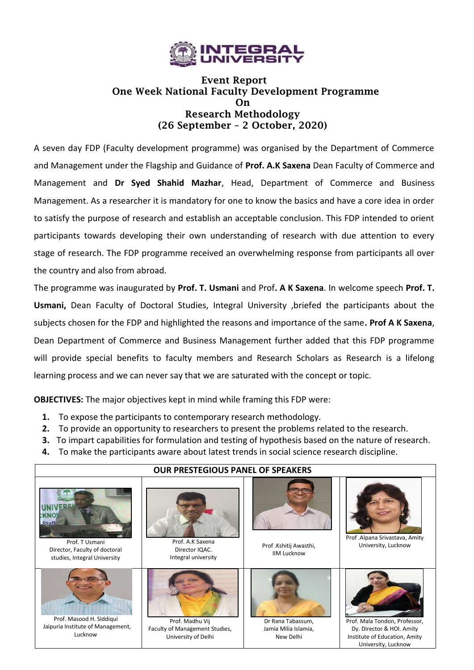

# **Event Report One Week National Faculty Development Programme On Research Methodology (26 September – 2 October, 2020)**

A seven day FDP (Faculty development programme) was organised by the Department of Commerce and Management under the Flagship and Guidance of **Prof. A.K Saxena** Dean Faculty of Commerce and Management and **Dr Syed Shahid Mazhar**, Head, Department of Commerce and Business Management. As a researcher it is mandatory for one to know the basics and have a core idea in order to satisfy the purpose of research and establish an acceptable conclusion. This FDP intended to orient participants towards developing their own understanding of research with due attention to every stage of research. The FDP programme received an overwhelming response from participants all over the country and also from abroad.

The programme was inaugurated by **Prof. T. Usmani** and Prof**. A K Saxena**. In welcome speech **Prof. T. Usmani,** Dean Faculty of Doctoral Studies, Integral University ,briefed the participants about the subjects chosen for the FDP and highlighted the reasons and importance of the same**. Prof A K Saxena**, Dean Department of Commerce and Business Management further added that this FDP programme will provide special benefits to faculty members and Research Scholars as Research is a lifelong learning process and we can never say that we are saturated with the concept or topic.

**OBJECTIVES:** The major objectives kept in mind while framing this FDP were:

- **1.** To expose the participants to contemporary research methodology.
- **2.** To provide an opportunity to researchers to present the problems related to the research.
- **3.** To impart capabilities for formulation and testing of hypothesis based on the nature of research.
- **4.** To make the participants aware about latest trends in social science research discipline.

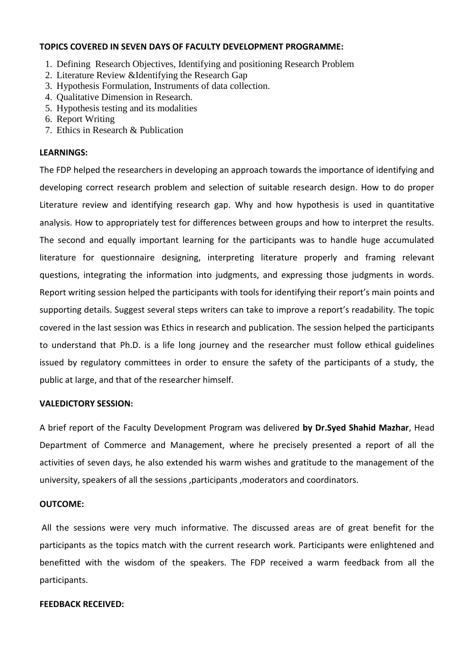#### **TOPICS COVERED IN SEVEN DAYS OF FACULTY DEVELOPMENT PROGRAMME:**

- 1. Defining Research Objectives, Identifying and positioning Research Problem
- 2. Literature Review &Identifying the Research Gap
- 3. Hypothesis Formulation, Instruments of data collection.
- 4. Qualitative Dimension in Research.
- 5. Hypothesis testing and its modalities
- 6. Report Writing
- 7. Ethics in Research & Publication

## **LEARNINGS:**

The FDP helped the researchers in developing an approach towards the importance of identifying and developing correct research problem and selection of suitable research design. How to do proper Literature review and identifying research gap. Why and how hypothesis is used in quantitative analysis. How to appropriately test for differences between groups and how to interpret the results. The second and equally important learning for the participants was to handle huge accumulated literature for questionnaire designing, interpreting literature properly and framing relevant questions, integrating the information into judgments, and expressing those judgments in words. Report writing session helped the participants with tools for identifying their report's main points and supporting details. Suggest several steps writers can take to improve a report's readability. The topic covered in the last session was Ethics in research and publication. The session helped the participants to understand that Ph.D. is a life long journey and the researcher must follow ethical guidelines issued by regulatory committees in order to ensure the safety of the participants of a study, the public at large, and that of the researcher himself.

#### **VALEDICTORY SESSION:**

A brief report of the Faculty Development Program was delivered **by Dr.Syed Shahid Mazhar**, Head Department of Commerce and Management, where he precisely presented a report of all the activities of seven days, he also extended his warm wishes and gratitude to the management of the university, speakers of all the sessions ,participants ,moderators and coordinators.

## **OUTCOME:**

All the sessions were very much informative. The discussed areas are of great benefit for the participants as the topics match with the current research work. Participants were enlightened and benefitted with the wisdom of the speakers. The FDP received a warm feedback from all the participants.

#### **FEEDBACK RECEIVED:**